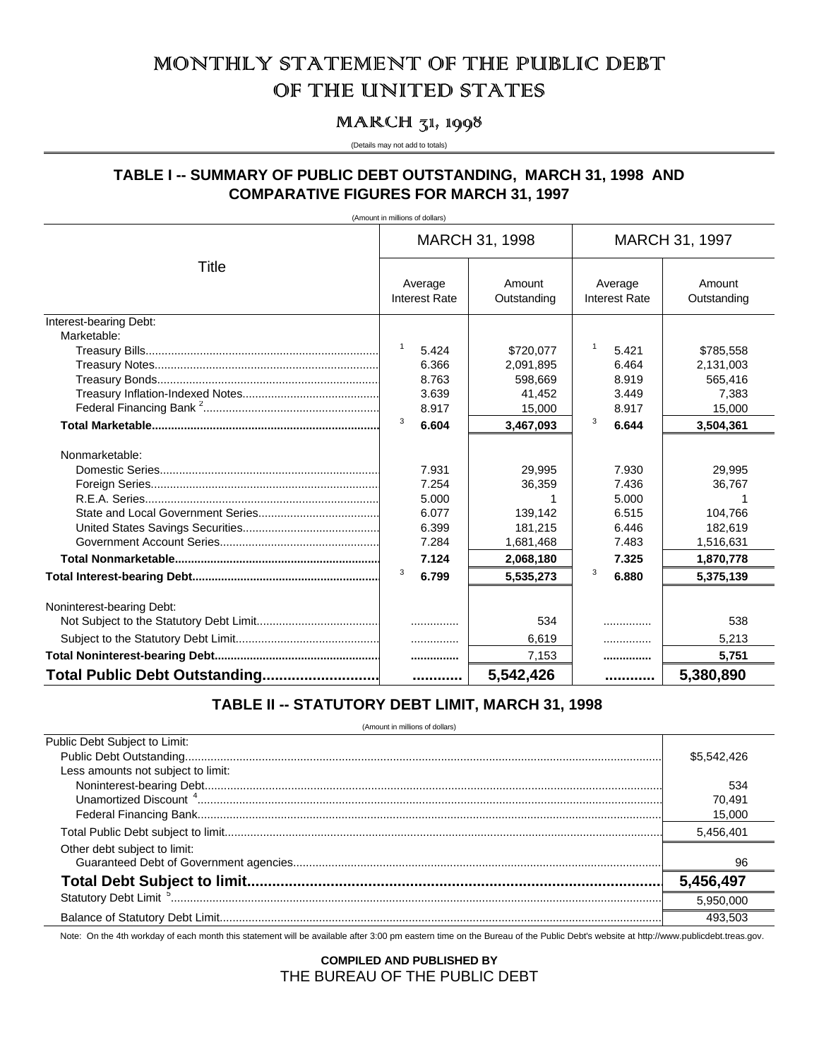## MONTHILY STATEMENT OF THE PUBLIC DEBT OF THE UNITED STATES

## MARCH 31, 1998

(Details may not add to totals)

## TABLE I -- SUMMARY OF PUBLIC DEBT OUTSTANDING, MARCH 31, 1998 AND **COMPARATIVE FIGURES FOR MARCH 31, 1997**

(Amount in millions of dollars)

|                               | MARCH 31, 1998                  |                       | MARCH 31, 1997                  |                       |
|-------------------------------|---------------------------------|-----------------------|---------------------------------|-----------------------|
| Title                         | Average<br><b>Interest Rate</b> | Amount<br>Outstanding | Average<br><b>Interest Rate</b> | Amount<br>Outstanding |
| Interest-bearing Debt:        |                                 |                       |                                 |                       |
| Marketable:                   |                                 |                       |                                 |                       |
|                               | $\overline{1}$<br>5.424         | \$720,077             | $\mathbf{1}$<br>5.421           | \$785,558             |
|                               | 6.366                           | 2,091,895             | 6.464                           | 2,131,003             |
|                               | 8.763                           | 598.669               | 8.919                           | 565.416               |
|                               | 3.639                           | 41,452                | 3.449                           | 7,383                 |
|                               | 8.917                           | 15,000                | 8.917                           | 15,000                |
|                               | 3<br>6.604                      | 3,467,093             | 3<br>6.644                      | 3,504,361             |
| Nonmarketable:                |                                 |                       |                                 |                       |
|                               | 7.931                           | 29.995                | 7.930                           | 29.995                |
|                               | 7.254                           | 36,359                | 7.436                           | 36,767                |
|                               | 5.000                           |                       | 5.000                           |                       |
|                               | 6.077                           | 139.142               | 6.515                           | 104.766               |
|                               | 6.399                           | 181,215               | 6.446                           | 182,619               |
|                               | 7.284                           | 1,681,468             | 7.483                           | 1,516,631             |
|                               | 7.124                           | 2,068,180             | 7.325                           | 1,870,778             |
|                               | 3<br>6.799                      | 5,535,273             | 3<br>6.880                      | 5,375,139             |
| Noninterest-bearing Debt:     |                                 |                       |                                 |                       |
|                               |                                 | 534                   | .                               | 538                   |
|                               | .                               | 6,619                 | .                               | 5,213                 |
|                               |                                 | 7,153                 |                                 | 5,751                 |
| Total Public Debt Outstanding |                                 | 5,542,426             |                                 | 5,380,890             |

## TABLE II -- STATUTORY DEBT LIMIT, MARCH 31, 1998

(Amount in millions of dollars)

| Public Debt Subject to Limit:      |             |
|------------------------------------|-------------|
|                                    | \$5,542,426 |
| Less amounts not subject to limit: |             |
|                                    | 534         |
|                                    | 70.491      |
|                                    | 15.000      |
|                                    | 5.456.401   |
| Other debt subject to limit:       |             |
|                                    |             |
|                                    | 5,456,497   |
|                                    | 5.950.000   |
|                                    | 493.503     |

Note: On the 4th workday of each month this statement will be available after 3:00 pm eastern time on the Bureau of the Public Debt's website at http://www.publicdebt.treas.gov.

**COMPILED AND PUBLISHED BY** THE BUREAU OF THE PUBLIC DEBT